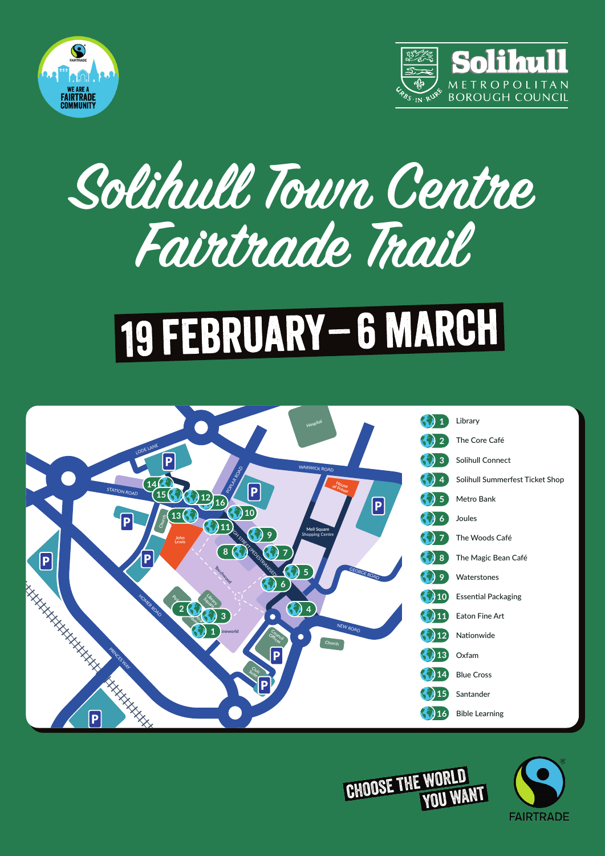



## **Solihull Town Centre Fairtrade Trail**

## 19 FEBRUARY - 6 MARCH